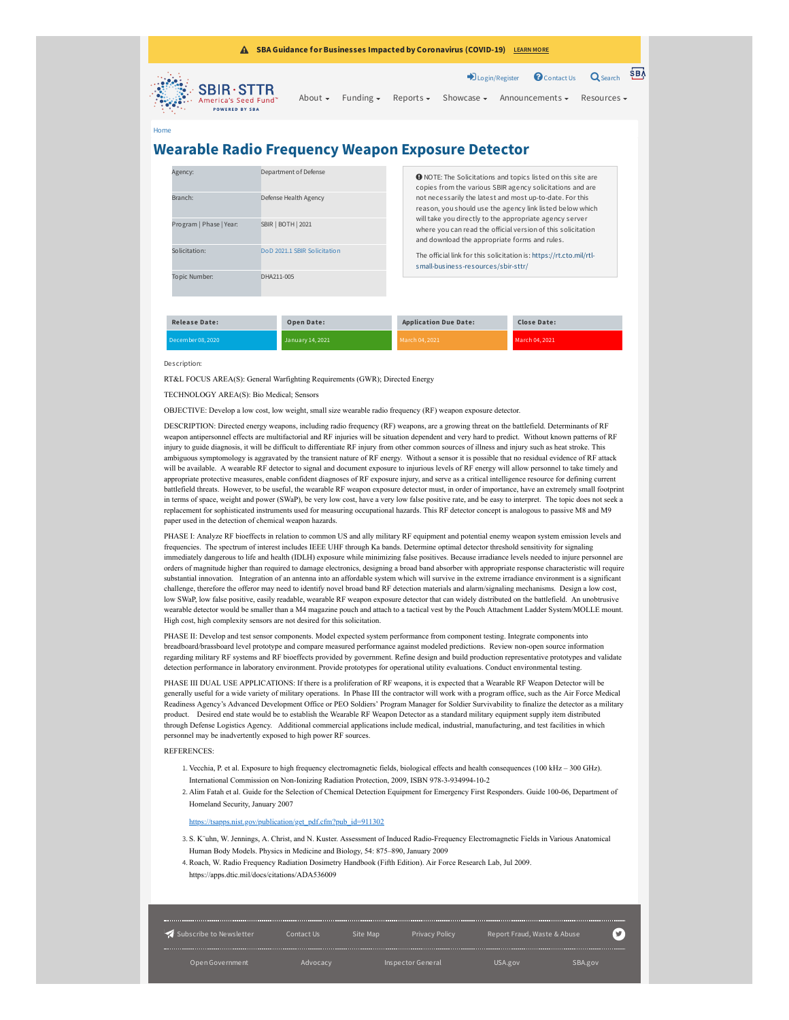| <b>SBA Guidance for Businesses Impacted by Coronavirus (COVID-19)</b> LEARN MORE<br>A                                                                                                                                                                         |  |                             |  |                                                        |  |                                        |                  |  |
|---------------------------------------------------------------------------------------------------------------------------------------------------------------------------------------------------------------------------------------------------------------|--|-----------------------------|--|--------------------------------------------------------|--|----------------------------------------|------------------|--|
|                                                                                                                                                                                                                                                               |  |                             |  |                                                        |  | Dugin/Register Contact Us Q Search SBA |                  |  |
| <b>SALES SERIES SERIES SERIES SERIES SERIES SERIES SERIES SERIES SERIES SERIES SERIES SERIES SERIES SERIES SERIES SERIES SERIES SERIES SERIES SERIES SERIES SERIES SERIES SERIES SERIES SERIES SERIES SERIES SERIES SERIES SERIE</b><br><b>POWERED BY SBA</b> |  | About $\sim$ Funding $\sim$ |  | Reports $\star$ Showcase $\star$ Announcements $\star$ |  |                                        | Resources $\sim$ |  |
| Home                                                                                                                                                                                                                                                          |  |                             |  |                                                        |  |                                        |                  |  |

## **Wearable Radio Frequency Weapon Exposure Detector**

| Agency:                 |            | Department of Defense                                                                                                                          | <b>O</b> NOTE: The Solicitations and topics listed on this site are<br>copies from the various SBIR agency solicitations and are                                         |                    |  |  |  |
|-------------------------|------------|------------------------------------------------------------------------------------------------------------------------------------------------|--------------------------------------------------------------------------------------------------------------------------------------------------------------------------|--------------------|--|--|--|
| Branch:                 |            | not necessarily the latest and most up-to-date. For this<br>Defense Health Agency<br>reason, you should use the agency link listed below which |                                                                                                                                                                          |                    |  |  |  |
| Program   Phase   Year: |            | <b>SBIR   BOTH   2021</b>                                                                                                                      | will take you directly to the appropriate agency server<br>where you can read the official version of this solicitation<br>and download the appropriate forms and rules. |                    |  |  |  |
| Solicitation:           |            | DoD 2021.1 SBIR Solicitation                                                                                                                   | The official link for this solicitation is: https://rt.cto.mil/rtl-<br>small-business-resources/sbir-sttr/                                                               |                    |  |  |  |
| Topic Number:           | DHA211-005 |                                                                                                                                                |                                                                                                                                                                          |                    |  |  |  |
| <b>Release Date:</b>    |            | <b>Open Date:</b>                                                                                                                              | <b>Application Due Date:</b>                                                                                                                                             | <b>Close Date:</b> |  |  |  |
| December 08, 2020       |            | January 14, 2021                                                                                                                               | March 04, 2021                                                                                                                                                           | March 04, 2021     |  |  |  |

Description:

RT&L FOCUS AREA(S): General Warfighting Requirements (GWR); Directed Energy

TECHNOLOGY AREA(S): Bio Medical; Sensors

OBJECTIVE: Develop a low cost, low weight, small size wearable radio frequency (RF) weapon exposure detector.

DESCRIPTION: Directed energy weapons, including radio frequency (RF) weapons, are a growing threat on the battlefield. Determinants of RF weapon antipersonnel effects are multifactorial and RF injuries will be situation dependent and very hard to predict. Without known patterns of RF injury to guide diagnosis, it will be difficult to differentiate RF injury from other common sources of illness and injury such as heat stroke. This ambiguous symptomology is aggravated by the transient nature of RF energy. Without a sensor it is possible that no residual evidence of RF attack will be available. A wearable RF detector to signal and document exposure to injurious levels of RF energy will allow personnel to take timely and appropriate protective measures, enable confident diagnoses of RF exposure injury, and serve as a critical intelligence resource for defining current battlefield threats. However, to be useful, the wearable RF weapon exposure detector must, in order of importance, have an extremely small footprint in terms of space, weight and power (SWaP), be very low cost, have a very low false positive rate, and be easy to interpret. The topic does not seek a replacement for sophisticated instruments used for measuring occupational hazards. This RF detector concept is analogous to passive M8 and M9 paper used in the detection of chemical weapon hazards.

PHASE I: Analyze RF bioeffects in relation to common US and ally military RF equipment and potential enemy weapon system emission levels and frequencies. The spectrum of interest includes IEEE UHF through Ka bands. Determine optimal detector threshold sensitivity for signaling immediately dangerous to life and health (IDLH) exposure while minimizing false positives. Because irradiance levels needed to injure personnel are orders of magnitude higher than required to damage electronics, designing a broad band absorber with appropriate response characteristic will require substantial innovation. Integration of an antenna into an affordable system which will survive in the extreme irradiance environment is a significant challenge, therefore the offeror may need to identify novel broad band RF detection materials and alarm/signaling mechanisms. Design a low cost, low SWaP, low false positive, easily readable, wearable RF weapon exposure detector that can widely distributed on the battlefield. An unobtrusive wearable detector would be smaller than a M4 magazine pouch and attach to a tactical vest by the Pouch Attachment Ladder System/MOLLE mount. High cost, high complexity sensors are not desired for this solicitation.

PHASE II: Develop and test sensor components. Model expected system performance from component testing. Integrate components into breadboard/brassboard level prototype and compare measured performance against modeled predictions. Review non-open source information regarding military RF systems and RF bioeffects provided by government. Refine design and build production representative prototypes and validate detection performance in laboratory environment. Provide prototypes for operational utility evaluations. Conduct environmental testing.

PHASE III DUAL USE APPLICATIONS: If there is a proliferation of RF weapons, it is expected that a Wearable RF Weapon Detector will be generally useful for a wide variety of military operations. In Phase III the contractor will work with a program office, such as the Air Force Medical Readiness Agency's Advanced Development Office or PEO Soldiers' Program Manager for Soldier Survivability to finalize the detector as a military product. Desired end state would be to establish the Wearable RF Weapon Detector as a standard military equipment supply item distributed through Defense Logistics Agency. Additional commercial applications include medical, industrial, manufacturing, and test facilities in which personnel may be inadvertently exposed to high power RF sources.

## **REFERENCES**

- 1. Vecchia, P. et al. Exposure to high frequency electromagnetic fields, biological effects and health consequences (100 kHz 300 GHz). International Commission on Non-Ionizing Radiation Protection, 2009, ISBN 978-3-934994-10-2
- 2. Alim Fatah et al. Guide for the Selection of Chemical Detection Equipment for Emergency First Responders. Guide 100-06, Department of Homeland Security, January 2007

[https://tsapps.nist.gov/publication/get\\_pdf.cfm?pub\\_id=911302](https://tsapps.nist.gov/publication/get_pdf.cfm?pub_id=911302)

- 3. S. K¨uhn, W. Jennings, A. Christ, and N. Kuster. Assessment of Induced Radio-Frequency Electromagnetic Fields in Various Anatomical Human Body Models. Physics in Medicine and Biology, 54: 875–890, January 2009
- 4. Roach, W. Radio Frequency Radiation Dosimetry Handbook (Fifth Edition). Air Force Research Lab, Jul 2009. https://apps.dtic.mil/docs/citations/ADA536009

| 4 Subscribe to Newsletter | Contact Us | Site Map | Privacy Policy    | Report Fraud, Waste & Abuse | ¥       |
|---------------------------|------------|----------|-------------------|-----------------------------|---------|
| Open Government           | Advocacy   |          | Inspector General | USA.gov                     | SBA.gov |